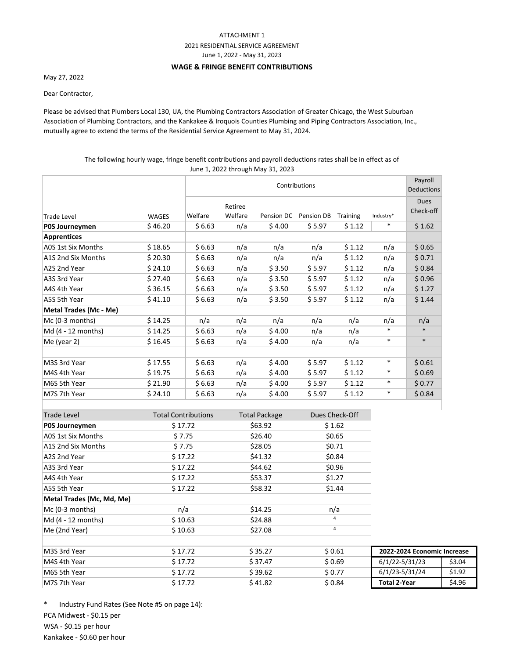## ATTACHMENT 1

# 2021 RESIDENTIAL SERVICE AGREEMENT

June 1, 2022 ‐ May 31, 2023

#### **WAGE & FRINGE BENEFIT CONTRIBUTIONS**

May 27, 2022

Dear Contractor,

Please be advised that Plumbers Local 130, UA, the Plumbing Contractors Association of Greater Chicago, the West Suburban Association of Plumbing Contractors, and the Kankakee & Iroquois Counties Plumbing and Piping Contractors Association, Inc., mutually agree to extend the terms of the Residential Service Agreement to May 31, 2024.

## The following hourly wage, fringe benefit contributions and payroll deductions rates shall be in effect as of June 1, 2022 through May 31, 2023

|                                      |                            | Contributions |                      |                |                |                |           | Payroll<br><b>Deductions</b> |  |
|--------------------------------------|----------------------------|---------------|----------------------|----------------|----------------|----------------|-----------|------------------------------|--|
|                                      |                            |               | Retiree              |                |                |                |           | <b>Dues</b><br>Check-off     |  |
| <b>Trade Level</b>                   | <b>WAGES</b>               | Welfare       | Welfare              | Pension DC     | Pension DB     | Training       | Industry* |                              |  |
| P0S Journeymen                       | \$46.20                    | \$6.63        | n/a                  | \$4.00         | \$5.97         | \$1.12         | $\ast$    | \$1.62                       |  |
| <b>Apprentices</b>                   |                            |               |                      |                |                |                |           |                              |  |
| A0S 1st Six Months                   | \$18.65                    | \$6.63        | n/a                  | n/a            | n/a            | \$1.12         | n/a       | \$0.65                       |  |
| A1S 2nd Six Months                   | \$20.30                    | \$6.63        | n/a                  | n/a            | n/a            | \$1.12         | n/a       | \$0.71                       |  |
| A2S 2nd Year                         | \$24.10                    | \$6.63        | n/a                  | \$3.50         | \$5.97         | \$1.12         | n/a       | \$0.84                       |  |
| A3S 3rd Year                         | \$27.40                    | \$6.63        | n/a                  | \$3.50         | \$5.97         | \$1.12         | n/a       | \$0.96                       |  |
| A4S 4th Year                         | \$36.15                    | \$6.63        | n/a                  | \$3.50         | \$5.97         | \$1.12         | n/a       | \$1.27                       |  |
| A5S 5th Year                         | \$41.10                    | \$6.63        | n/a                  | \$3.50         | \$5.97         | \$1.12         | n/a       | \$1.44                       |  |
| Metal Trades (Mc - Me)               |                            |               |                      |                |                |                |           |                              |  |
| Mc (0-3 months)                      | \$14.25                    | n/a           | n/a                  | n/a            | n/a            | n/a            | n/a       | n/a                          |  |
| Md (4 - 12 months)                   | \$14.25                    | \$6.63        | n/a                  | \$4.00         | n/a            | n/a            |           | $\ast$                       |  |
| Me (year 2)                          | \$16.45                    | \$6.63        | n/a                  | \$4.00         | n/a            | n/a            | $\ast$    | $\ast$                       |  |
| M3S 3rd Year                         | \$17.55                    | \$6.63        | n/a                  | \$4.00         | \$5.97         | \$1.12         | $\ast$    | \$0.61                       |  |
| M4S 4th Year                         | \$19.75                    | \$6.63        | n/a                  | \$4.00         | \$5.97         | \$1.12         | $\ast$    | \$0.69                       |  |
| M6S 5th Year                         | \$21.90                    | \$6.63        | n/a                  | \$4.00         | \$5.97         | \$1.12         | $\ast$    | \$0.77                       |  |
| M7S 7th Year                         | \$24.10                    | \$6.63        | n/a                  | \$4.00         | \$5.97         | \$1.12         | $\ast$    | \$0.84                       |  |
|                                      |                            |               |                      |                |                |                |           |                              |  |
| <b>Trade Level</b>                   | <b>Total Contributions</b> |               | <b>Total Package</b> |                | Dues Check-Off |                |           |                              |  |
| POS Journeymen                       | \$17.72                    |               |                      | \$63.92        |                | \$1.62         |           |                              |  |
| A0S 1st Six Months                   | \$7.75                     |               | \$26.40              |                | \$0.65         |                |           |                              |  |
| A1S 2nd Six Months                   | \$7.75                     |               | \$28.05              |                | \$0.71         |                |           |                              |  |
| A2S 2nd Year                         | \$17.22                    |               | \$41.32              |                | \$0.84         |                |           |                              |  |
| A3S 3rd Year                         | \$17.22                    |               | \$44.62              |                | \$0.96         |                |           |                              |  |
| A4S 4th Year                         | \$17.22                    |               | \$53.37              |                | \$1.27         |                |           |                              |  |
| A5S 5th Year                         | \$17.22                    |               | \$58.32              |                | \$1.44         |                |           |                              |  |
| Metal Trades (Mc, Md, Me)            |                            |               |                      |                |                |                |           |                              |  |
| Mc (0-3 months)                      | n/a                        |               |                      | \$14.25        |                | n/a            |           |                              |  |
| Md (4 - 12 months)                   | \$10.63                    |               |                      | \$24.88        |                | $\overline{4}$ |           |                              |  |
| Me (2nd Year)                        | \$10.63                    |               |                      | \$27.08        |                | $\overline{4}$ |           |                              |  |
| M <sub>2</sub> C <sub>2rd</sub> Voor | <b>¢ 1777</b>              |               |                      | <b>C 25 77</b> |                | <b>COG1</b>    |           | $2022.2024$ Economic         |  |

| M3S 3rd Year | <b>`17.72</b> | \$ 35.27 | \$ 0.61 | 2022-2024 Economic Increase |        |  |
|--------------|---------------|----------|---------|-----------------------------|--------|--|
| M4S 4th Year | S 17.72       | \$37.47  | \$ 0.69 | 6/1/22-5/31/23              | \$3.04 |  |
| M6S 5th Year | \$ 17.72      | \$ 39.62 | \$0.77  | 6/1/23-5/31/24              | \$1.92 |  |
| M7S 7th Year | ` 17.72       | \$ 41.82 | \$ 0.84 | Total 2-Year                | \$4.96 |  |

PCA Midwest - \$0.15 per WSA - \$0.15 per hour Kankakee - \$0.60 per hour \* Industry Fund Rates (See Note #5 on page 14):